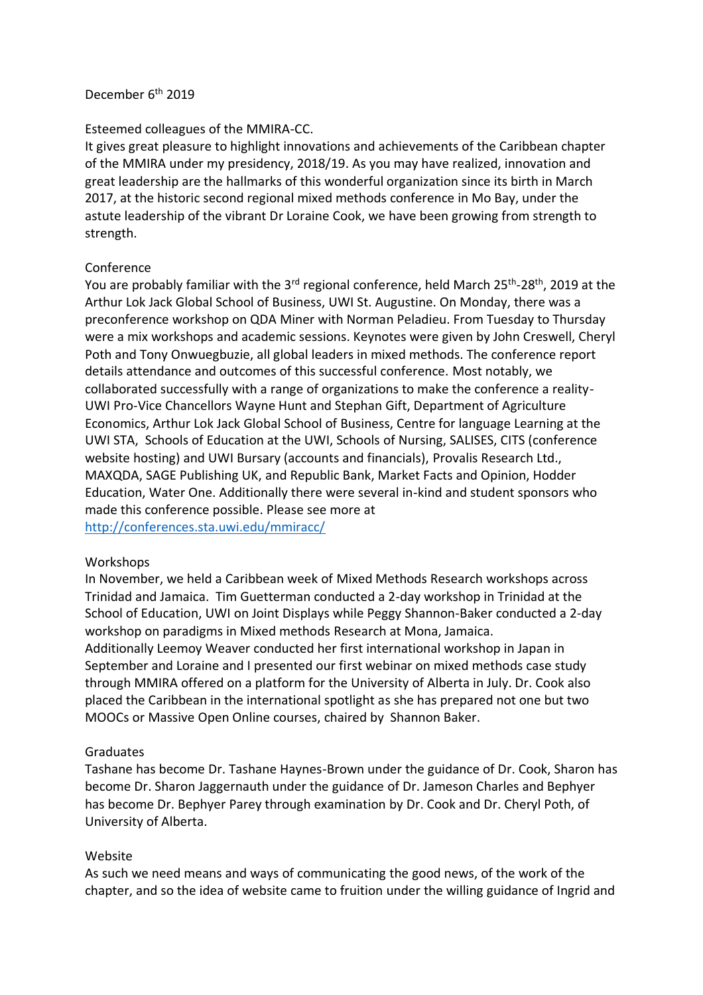#### December 6<sup>th</sup> 2019

#### Esteemed colleagues of the MMIRA-CC.

It gives great pleasure to highlight innovations and achievements of the Caribbean chapter of the MMIRA under my presidency, 2018/19. As you may have realized, innovation and great leadership are the hallmarks of this wonderful organization since its birth in March 2017, at the historic second regional mixed methods conference in Mo Bay, under the astute leadership of the vibrant Dr Loraine Cook, we have been growing from strength to strength.

## Conference

You are probably familiar with the 3<sup>rd</sup> regional conference, held March 25<sup>th</sup>-28<sup>th</sup>, 2019 at the Arthur Lok Jack Global School of Business, UWI St. Augustine. On Monday, there was a preconference workshop on QDA Miner with Norman Peladieu. From Tuesday to Thursday were a mix workshops and academic sessions. Keynotes were given by John Creswell, Cheryl Poth and Tony Onwuegbuzie, all global leaders in mixed methods. The conference report details attendance and outcomes of this successful conference. Most notably, we collaborated successfully with a range of organizations to make the conference a reality-UWI Pro-Vice Chancellors Wayne Hunt and Stephan Gift, Department of Agriculture Economics, Arthur Lok Jack Global School of Business, Centre for language Learning at the UWI STA, Schools of Education at the UWI, Schools of Nursing, SALISES, CITS (conference website hosting) and UWI Bursary (accounts and financials), Provalis Research Ltd., MAXQDA, SAGE Publishing UK, and Republic Bank, Market Facts and Opinion, Hodder Education, Water One. Additionally there were several in-kind and student sponsors who made this conference possible. Please see more at

<http://conferences.sta.uwi.edu/mmiracc/>

# Workshops

In November, we held a Caribbean week of Mixed Methods Research workshops across Trinidad and Jamaica. Tim Guetterman conducted a 2-day workshop in Trinidad at the School of Education, UWI on Joint Displays while Peggy Shannon-Baker conducted a 2-day workshop on paradigms in Mixed methods Research at Mona, Jamaica.

Additionally Leemoy Weaver conducted her first international workshop in Japan in September and Loraine and I presented our first webinar on mixed methods case study through MMIRA offered on a platform for the University of Alberta in July. Dr. Cook also placed the Caribbean in the international spotlight as she has prepared not one but two MOOCs or Massive Open Online courses, chaired by Shannon Baker.

# **Graduates**

Tashane has become Dr. Tashane Haynes-Brown under the guidance of Dr. Cook, Sharon has become Dr. Sharon Jaggernauth under the guidance of Dr. Jameson Charles and Bephyer has become Dr. Bephyer Parey through examination by Dr. Cook and Dr. Cheryl Poth, of University of Alberta.

# Website

As such we need means and ways of communicating the good news, of the work of the chapter, and so the idea of website came to fruition under the willing guidance of Ingrid and